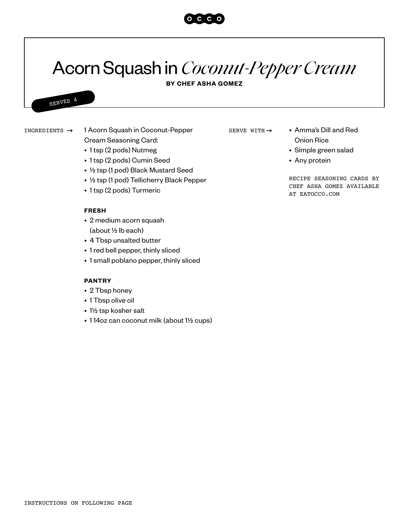## Acorn Squash in *Coconut-Pepper Cream*

**BY CHEF ASHA GOMEZ**

INGREDIENTS  $\rightarrow$  1 Acorn Squash in Coconut-Pepper SERVE WITH  $\rightarrow$  • Amma's Dill and Red

SERVES 4

- Cream Seasoning Card: • 1 tsp (2 pods) Nutmeg
- 1 tsp (2 pods) Cumin Seed
- ½ tsp (1 pod) Black Mustard Seed
- ½ tsp (1 pod) Tellicherry Black Pepper
- 1 tsp (2 pods) Turmeric

## **FRESH**

- 2 medium acorn squash (about ½ lb each)
- 4 Tbsp unsalted butter
- 1 red bell pepper, thinly sliced
- 1 small poblano pepper, thinly sliced

## **PANTRY**

- 2 Tbsp honey
- 1 Tbsp olive oil
- 1½ tsp kosher salt
- 1 14oz can coconut milk (about 1½ cups)

SERVE WITH  $\rightarrow$ 

- Onion Rice
- Simple green salad
- Any protein

RECIPE SEASONING CARDS BY CHEF ASHA GOMEZ AVAILABLE AT EATOCCO.COM